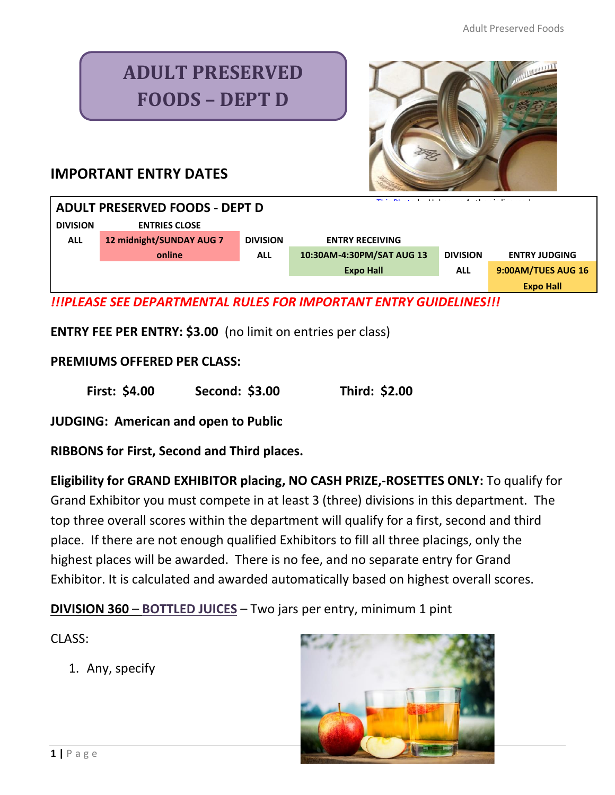# **ADULT PRESERVED FOODS – DEPT D**



## **IMPORTANT ENTRY DATES**

| <b>ADULT PRESERVED FOODS - DEPT D</b> |                          |                 |                           |                 |                      |
|---------------------------------------|--------------------------|-----------------|---------------------------|-----------------|----------------------|
| <b>DIVISION</b>                       | <b>ENTRIES CLOSE</b>     |                 |                           |                 |                      |
| <b>ALL</b>                            | 12 midnight/SUNDAY AUG 7 | <b>DIVISION</b> | <b>ENTRY RECEIVING</b>    |                 |                      |
|                                       | online                   | <b>ALL</b>      | 10:30AM-4:30PM/SAT AUG 13 | <b>DIVISION</b> | <b>ENTRY JUDGING</b> |
|                                       |                          |                 | <b>Expo Hall</b>          | <b>ALL</b>      | 9:00AM/TUES AUG 16   |
|                                       |                          |                 |                           |                 | <b>Expo Hall</b>     |

*!!!PLEASE SEE DEPARTMENTAL RULES FOR IMPORTANT ENTRY GUIDELINES!!!*

**ENTRY FEE PER ENTRY: \$3.00** (no limit on entries per class)

#### **PREMIUMS OFFERED PER CLASS:**

**First: \$4.00 Second: \$3.00 Third: \$2.00**

**JUDGING: American and open to Public**

**RIBBONS for First, Second and Third places.** 

**Eligibility for GRAND EXHIBITOR placing, NO CASH PRIZE,-ROSETTES ONLY:** To qualify for Grand Exhibitor you must compete in at least 3 (three) divisions in this department. The top three overall scores within the department will qualify for a first, second and third place. If there are not enough qualified Exhibitors to fill all three placings, only the highest places will be awarded. There is no fee, and no separate entry for Grand Exhibitor. It is calculated and awarded automatically based on highest overall scores.

**DIVISION 360** – **BOTTLED JUICES** – Two jars per entry, minimum 1 pint

CLASS:

1. Any, specify

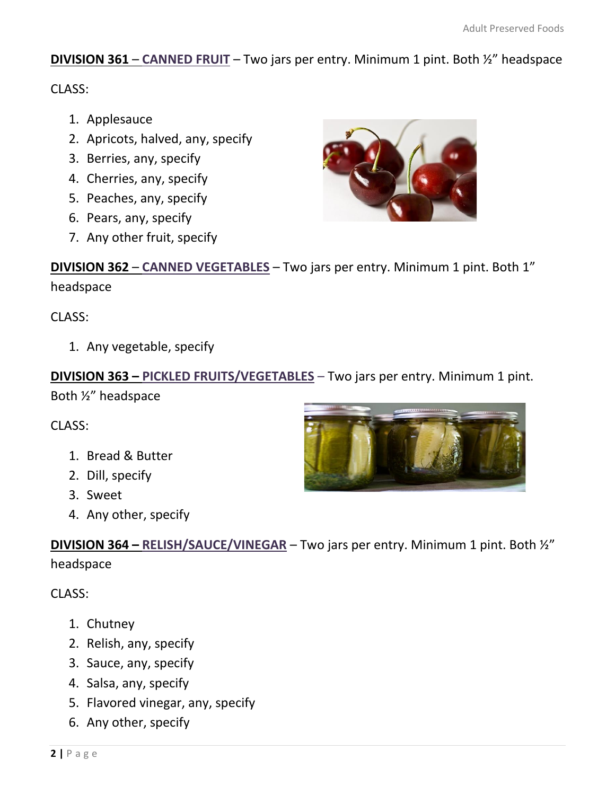### **DIVISION 361** – **CANNED FRUIT** – Two jars per entry. Minimum 1 pint. Both ½" headspace

CLASS:

- 1. Applesauce
- 2. Apricots, halved, any, specify
- 3. Berries, any, specify
- 4. Cherries, any, specify
- 5. Peaches, any, specify
- 6. Pears, any, specify
- 7. Any other fruit, specify



**DIVISION 362** – **CANNED VEGETABLES** – Two jars per entry. Minimum 1 pint. Both 1" headspace

CLASS:

1. Any vegetable, specify

**DIVISION 363 – PICKLED FRUITS/VEGETABLES** – Two jars per entry. Minimum 1 pint.

Both ½" headspace

CLASS:

- 1. Bread & Butter
- 2. Dill, specify
- 3. Sweet
- 4. Any other, specify

**DIVISION 364 – RELISH/SAUCE/VINEGAR** – Two jars per entry. Minimum 1 pint. Both ½" headspace

CLASS:

- 1. Chutney
- 2. Relish, any, specify
- 3. Sauce, any, specify
- 4. Salsa, any, specify
- 5. Flavored vinegar, any, specify
- 6. Any other, specify

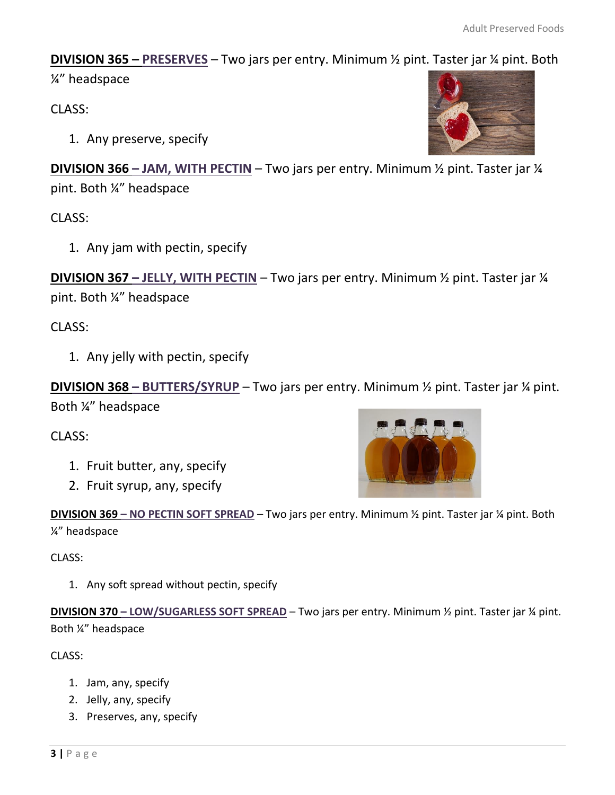**DIVISION 365 – PRESERVES** – Two jars per entry. Minimum ½ pint. Taster jar ¼ pint. Both

¼" headspace

CLASS:

1. Any preserve, specify

**DIVISION 366 – JAM, WITH PECTIN** – Two jars per entry. Minimum ½ pint. Taster jar ¼ pint. Both ¼" headspace

CLASS:

1. Any jam with pectin, specify

**DIVISION 367 – JELLY, WITH PECTIN** – Two jars per entry. Minimum ½ pint. Taster jar ¼ pint. Both ¼" headspace

CLASS:

1. Any jelly with pectin, specify

**DIVISION 368 – BUTTERS/SYRUP** – Two jars per entry. Minimum ½ pint. Taster jar ¼ pint. Both ¼" headspace

CLASS:

- 1. Fruit butter, any, specify
- 2. Fruit syrup, any, specify



**DIVISION 369 – NO PECTIN SOFT SPREAD** – Two jars per entry. [Minimum](https://www.flickr.com/photos/161643692@N05/40648534583/in/faves-columbyne_1910/) ½ pint. T[aster](https://creativecommons.org/licenses/by-nc/3.0/) jar ¼ pint. Both ¼" headspace

CLASS:

1. Any soft spread without pectin, specify

**DIVISION 370 – LOW/SUGARLESS SOFT SPREAD** – Two jars per entry. Minimum ½ pint. Taster jar ¼ pint. Both ¼" headspace

CLASS:

- 1. Jam, any, specify
- 2. Jelly, any, specify
- 3. Preserves, any, specify